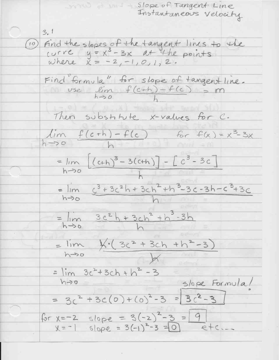Slope of Tangent Line Instantaneous Velocity  $3.1$ (10) Find the slopes of the tangent lines to the curve  $y = x^3 - 3x$  at the points where  $X = -2, -1, 0, 1, 2$ . Find formula" for slope of tangent line. use lim  $f(c+h) - f(c) = m$  $h\rightarrow o$ Then substitute x-values for C.  $lim$   $f(c+h)-f(c)$  $f_{\text{or}} f(x) = x^3 - 3x$  $h \rightarrow o$ =  $\lim_{(c+h)^3}$  - 3(cth) -  $[c^3 - 3c]$  $h\rightarrow o$ = lim  $c^3+3c^2h+3ch^2+h^3-3c-3h-c^3+3c$  $h\rightarrow o$  $= lim \frac{3c^{2}h+3ch^{2}+h^{3}-3h}{h}$  $h \rightarrow b$  $= lim \ x(3c<sup>2</sup>+3ch +h<sup>2</sup>-3)$  $h\rightarrow 0$  $= \lim_{x \to 0} 3c^2 + 3ch + h^2 - 3$ slope Formula/  $h \rightarrow o$ =  $3c^2 + 3c(0) + (0)^2 - 3 = 3c^2 - 3$ for  $x=-2$  slope =  $3(-2)^2-3 = 9$  $x=-1$  slope = 3(-1)<sup>2</sup>-3 = 0 etc.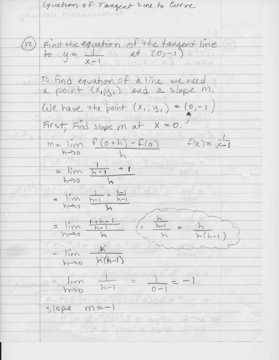Equation of Tangent Line to Corve z valdui-(12) Find the equation of the tangent line To find equation of a line we need a point  $(x_{1},y_{1})$  and a slope m. We have the point  $(x, y) = (0, -1)$ First, Find slope m at  $X = 0$ .  $m = lim_{x \to 0} f(0+h) - f(0)$   $f(x) = \frac{1}{x-1}$  $h \rightarrow o$  $= \lim_{h \to 0} \frac{h-1}{h} + 1$  $=$   $\frac{1}{h} \frac{1}{h} - 1 + \frac{h-1}{h-1}$ ne r<sup>o</sup>b  $\frac{1+h-1}{h-1}$  $h-1$  $h\rightarrow 0$  $=$   $\lim$  $h \rightarrow o$   $K(h-1)$  $|Im$  $h\rightarrow o$   $h-1$  $\overline{O}$   $\overline{\phantom{O}}$  $slope m=-1.$  $f(s-1) = s(0) = 3(-1)$  $10 = 2^{-9}(1+)$  $5 = 3$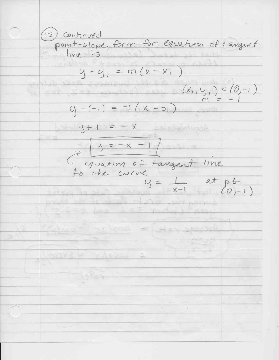(12) Continued point-slope form for equation of tangent m line is  $y - y_1 = m(x - x_1)$  $= (0,-1)$  $(x_i,y_i)$ m  $-1(X - 0)$  $4 - (-1)$  $4 + 1$  $\equiv$  $y =$ equation of tangent line a the corre  $y =$  $x-1$  $-1$ د لاده  $(0071877 - 100412)$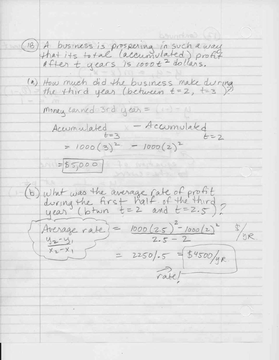(18) A business is prospering in such a way<br>that its to tal (accumulated) profit<br>after t years is 1000 t<sup>2</sup> dollars. (a) How much did the business make during Money Earned 3rd year = Accumulated - Accumulated<br>= 1000(3)<sup>2</sup> - 1000(2)<sup>2</sup>  $N = 55,000$ would abe a (b) what was the average rate of profit<br>during the first half of the third<br>year (btwn t=2 and t=2.5)? Average rate) =  $1000(2.5)^2 - 1000(2)^2$  \$/gR.  $42 - 41$  $X_2-X_1$  $= 2250$ ,  $= 54500$ /yr. rabel-